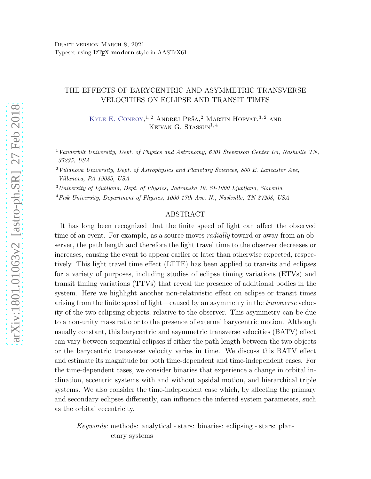## THE EFFECTS OF BARYCENTRIC AND ASYMMETRIC TRANSVERSE VELOCITIES ON ECLIPSE AND TRANSIT TIMES

KYLE E. CONROY,<sup>1,2</sup> ANDREJ PRŠA,<sup>2</sup> MARTIN HORVAT,<sup>3,2</sup> AND KEIVAN G. STASSUN<sup>1, 4</sup>

<sup>1</sup> Vanderbilt University, Dept. of Physics and Astronomy, 6301 Stevenson Center Ln, Nashville TN, 37235, USA

 $2$  Villanova University, Dept. of Astrophysics and Planetary Sciences, 800 E. Lancaster Ave, Villanova, PA 19085, USA

<sup>3</sup>University of Ljubljana, Dept. of Physics, Jadranska 19, SI-1000 Ljubljana, Slovenia

<sup>4</sup>Fisk University, Department of Physics, 1000 17th Ave. N., Nashville, TN 37208, USA

### ABSTRACT

It has long been recognized that the finite speed of light can affect the observed time of an event. For example, as a source moves *radially* toward or away from an observer, the path length and therefore the light travel time to the observer decreases or increases, causing the event to appear earlier or later than otherwise expected, respectively. This light travel time effect (LTTE) has been applied to transits and eclipses for a variety of purposes, including studies of eclipse timing variations (ETVs) and transit timing variations (TTVs) that reveal the presence of additional bodies in the system. Here we highlight another non-relativistic effect on eclipse or transit times arising from the finite speed of light—caused by an asymmetry in the transverse velocity of the two eclipsing objects, relative to the observer. This asymmetry can be due to a non-unity mass ratio or to the presence of external barycentric motion. Although usually constant, this barycentric and asymmetric transverse velocities (BATV) effect can vary between sequential eclipses if either the path length between the two objects or the barycentric transverse velocity varies in time. We discuss this BATV effect and estimate its magnitude for both time-dependent and time-independent cases. For the time-dependent cases, we consider binaries that experience a change in orbital inclination, eccentric systems with and without apsidal motion, and hierarchical triple systems. We also consider the time-independent case which, by affecting the primary and secondary eclipses differently, can influence the inferred system parameters, such as the orbital eccentricity.

Keywords: methods: analytical - stars: binaries: eclipsing - stars: planetary systems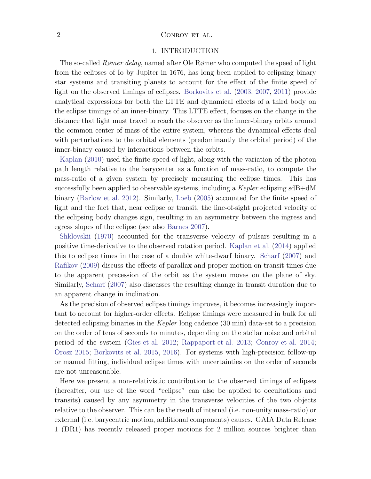## 2 CONROY ET AL.

#### 1. INTRODUCTION

The so-called Rømer delay, named after Ole Rømer who computed the speed of light from the eclipses of Io by Jupiter in 1676, has long been applied to eclipsing binary star systems and transiting planets to account for the effect of the finite speed of light on the observed timings of eclipses. [Borkovits et al.](#page-23-0) [\(2003](#page-23-0), [2007](#page-23-1), [2011\)](#page-23-2) provide analytical expressions for both the LTTE and dynamical effects of a third body on the eclipse timings of an inner-binary. This LTTE effect, focuses on the change in the distance that light must travel to reach the observer as the inner-binary orbits around the common center of mass of the entire system, whereas the dynamical effects deal with perturbations to the orbital elements (predominantly the orbital period) of the inner-binary caused by interactions between the orbits.

[Kaplan](#page-23-3) [\(2010](#page-23-3)) used the finite speed of light, along with the variation of the photon path length relative to the barycenter as a function of mass-ratio, to compute the mass-ratio of a given system by precisely measuring the eclipse times. This has successfully been applied to observable systems, including a  $Kepler$  eclipsing sdB+dM binary [\(Barlow et al. 2012\)](#page-22-0). Similarly, [Loeb](#page-23-4) [\(2005\)](#page-23-4) accounted for the finite speed of light and the fact that, near eclipse or transit, the line-of-sight projected velocity of the eclipsing body changes sign, resulting in an asymmetry between the ingress and egress slopes of the eclipse (see also [Barnes 2007](#page-23-5)).

[Shklovskii](#page-23-6) [\(1970\)](#page-23-6) accounted for the transverse velocity of pulsars resulting in a positive time-derivative to the observed rotation period. [Kaplan et al.](#page-23-7) [\(2014](#page-23-7)) applied this to eclipse times in the case of a double white-dwarf binary. [Scharf](#page-23-8) [\(2007\)](#page-23-8) and [Rafikov](#page-23-9) [\(2009](#page-23-9)) discuss the effects of parallax and proper motion on transit times due to the apparent precession of the orbit as the system moves on the plane of sky. Similarly, [Scharf](#page-23-8) [\(2007](#page-23-8)) also discusses the resulting change in transit duration due to an apparent change in inclination.

As the precision of observed eclipse timings improves, it becomes increasingly important to account for higher-order effects. Eclipse timings were measured in bulk for all detected eclipsing binaries in the Kepler long cadence (30 min) data-set to a precision on the order of tens of seconds to minutes, depending on the stellar noise and orbital period of the system [\(Gies et al. 2012](#page-23-10); [Rappaport et al. 2013](#page-23-11); [Conroy et al. 2014;](#page-23-12) [Orosz 2015](#page-23-13); [Borkovits et al. 2015](#page-23-14), [2016\)](#page-23-15). For systems with high-precision follow-up or manual fitting, individual eclipse times with uncertainties on the order of seconds are not unreasonable.

Here we present a non-relativistic contribution to the observed timings of eclipses (hereafter, our use of the word "eclipse" can also be applied to occultations and transits) caused by any asymmetry in the transverse velocities of the two objects relative to the observer. This can be the result of internal (i.e. non-unity mass-ratio) or external (i.e. barycentric motion, additional components) causes. GAIA Data Release 1 (DR1) has recently released proper motions for 2 million sources brighter than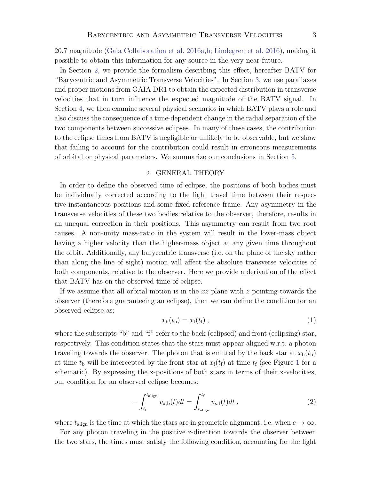20.7 magnitude [\(Gaia Collaboration et al. 2016a](#page-23-16)[,b](#page-23-17); [Lindegren et al. 2016\)](#page-23-18), making it possible to obtain this information for any source in the very near future.

In Section [2,](#page-2-0) we provide the formalism describing this effect, hereafter BATV for "Barycentric and Asymmetric Transverse Velocities". In Section [3,](#page-5-0) we use parallaxes and proper motions from GAIA DR1 to obtain the expected distribution in transverse velocities that in turn influence the expected magnitude of the BATV signal. In Section [4,](#page-6-0) we then examine several physical scenarios in which BATV plays a role and also discuss the consequence of a time-dependent change in the radial separation of the two components between successive eclipses. In many of these cases, the contribution to the eclipse times from BATV is negligible or unlikely to be observable, but we show that failing to account for the contribution could result in erroneous measurements of orbital or physical parameters. We summarize our conclusions in Section [5.](#page-19-0)

## 2. GENERAL THEORY

<span id="page-2-0"></span>In order to define the observed time of eclipse, the positions of both bodies must be individually corrected according to the light travel time between their respective instantaneous positions and some fixed reference frame. Any asymmetry in the transverse velocities of these two bodies relative to the observer, therefore, results in an unequal correction in their positions. This asymmetry can result from two root causes. A non-unity mass-ratio in the system will result in the lower-mass object having a higher velocity than the higher-mass object at any given time throughout the orbit. Additionally, any barycentric transverse (i.e. on the plane of the sky rather than along the line of sight) motion will affect the absolute transverse velocities of both components, relative to the observer. Here we provide a derivation of the effect that BATV has on the observed time of eclipse.

If we assume that all orbital motion is in the  $xz$  plane with z pointing towards the observer (therefore guaranteeing an eclipse), then we can define the condition for an observed eclipse as:

$$
x_{\rm b}(t_{\rm b}) = x_{\rm f}(t_{\rm f}), \qquad (1)
$$

where the subscripts "b" and "f" refer to the back (eclipsed) and front (eclipsing) star, respectively. This condition states that the stars must appear aligned w.r.t. a photon traveling towards the observer. The photon that is emitted by the back star at  $x<sub>b</sub>(t<sub>b</sub>)$ at time  $t<sub>b</sub>$  will be intercepted by the front star at  $x<sub>f</sub>(t<sub>f</sub>)$  at time  $t<sub>f</sub>$  (see Figure [1](#page-3-0) for a schematic). By expressing the x-positions of both stars in terms of their x-velocities, our condition for an observed eclipse becomes:

<span id="page-2-1"></span>
$$
-\int_{t_{\rm b}}^{t_{\rm align}} v_{\rm x,b}(t)dt = \int_{t_{\rm align}}^{t_{\rm f}} v_{\rm x,f}(t)dt ,
$$
\n(2)

where  $t_{\text{align}}$  is the time at which the stars are in geometric alignment, i.e. when  $c \to \infty$ .

For any photon traveling in the positive z-direction towards the observer between the two stars, the times must satisfy the following condition, accounting for the light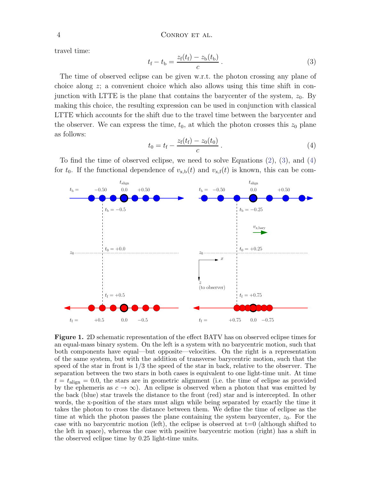<span id="page-3-1"></span>travel time:

$$
t_{\rm f} - t_{\rm b} = \frac{z_{\rm f}(t_{\rm f}) - z_{\rm b}(t_{\rm b})}{c} \,. \tag{3}
$$

The time of observed eclipse can be given w.r.t. the photon crossing any plane of choice along z; a convenient choice which also allows using this time shift in conjunction with LTTE is the plane that contains the barycenter of the system,  $z_0$ . By making this choice, the resulting expression can be used in conjunction with classical LTTE which accounts for the shift due to the travel time between the barycenter and the observer. We can express the time,  $t_0$ , at which the photon crosses this  $z_0$  plane as follows:

$$
t_0 = t_{\rm f} - \frac{z_{\rm f}(t_{\rm f}) - z_0(t_0)}{c} \,. \tag{4}
$$

<span id="page-3-2"></span>To find the time of observed eclipse, we need to solve Equations [\(2\)](#page-2-1), [\(3\)](#page-3-1), and [\(4\)](#page-3-2) for  $t_0$ . If the functional dependence of  $v_{x,b}(t)$  and  $v_{x,f}(t)$  is known, this can be com-



<span id="page-3-0"></span>Figure 1. 2D schematic representation of the effect BATV has on observed eclipse times for an equal-mass binary system. On the left is a system with no barycentric motion, such that both components have equal—but opposite—velocities. On the right is a representation of the same system, but with the addition of transverse barycentric motion, such that the speed of the star in front is  $1/3$  the speed of the star in back, relative to the observer. The separation between the two stars in both cases is equivalent to one light-time unit. At time  $t = t_{\text{align}} = 0.0$ , the stars are in geometric alignment (i.e. the time of eclipse as provided by the ephemeris as  $c \to \infty$ ). An eclipse is observed when a photon that was emitted by the back (blue) star travels the distance to the front (red) star and is intercepted. In other words, the x-position of the stars must align while being separated by exactly the time it takes the photon to cross the distance between them. We define the time of eclipse as the time at which the photon passes the plane containing the system barycenter,  $z_0$ . For the case with no barycentric motion (left), the eclipse is observed at  $t=0$  (although shifted to the left in space), whereas the case with positive barycentric motion (right) has a shift in the observed eclipse time by 0.25 light-time units.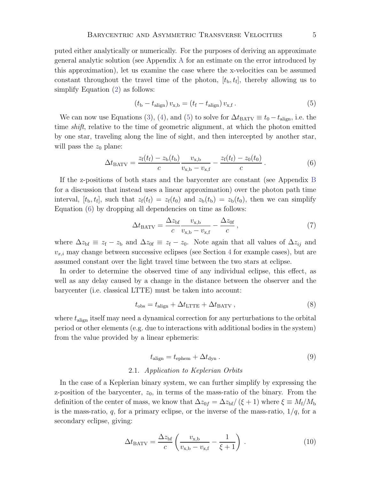puted either analytically or numerically. For the purposes of deriving an approximate general analytic solution (see Appendix [A](#page-20-0) for an estimate on the error introduced by this approximation), let us examine the case where the x-velocities can be assumed constant throughout the travel time of the photon,  $[t_{b}, t_{f}]$ , thereby allowing us to simplify Equation [\(2\)](#page-2-1) as follows:

<span id="page-4-0"></span>
$$
(t_{\rm b} - t_{\rm align}) v_{\rm x,b} = (t_{\rm f} - t_{\rm align}) v_{\rm x,f} . \tag{5}
$$

We can now use Equations [\(3\)](#page-3-1), [\(4\)](#page-3-2), and [\(5\)](#page-4-0) to solve for  $\Delta t_{\text{BATV}} \equiv t_0 - t_{\text{align}}$ , i.e. the time shift, relative to the time of geometric alignment, at which the photon emitted by one star, traveling along the line of sight, and then intercepted by another star, will pass the  $z_0$  plane:

<span id="page-4-1"></span>
$$
\Delta t_{\text{BATV}} = \frac{z_{\text{f}}(t_{\text{f}}) - z_{\text{b}}(t_{\text{b}})}{c} \frac{v_{\text{x,b}}}{v_{\text{x,b}} - v_{\text{x,f}}} - \frac{z_{\text{f}}(t_{\text{f}}) - z_{\text{0}}(t_{\text{0}})}{c} \,. \tag{6}
$$

If the z-positions of both stars and the barycenter are constant (see Appendix [B](#page-21-0) for a discussion that instead uses a linear approximation) over the photon path time interval,  $[t_{\rm b}, t_{\rm f}]$ , such that  $z_{\rm f}(t_{\rm f}) = z_{\rm f}(t_0)$  and  $z_{\rm b}(t_{\rm b}) = z_{\rm b}(t_0)$ , then we can simplify Equation [\(6\)](#page-4-1) by dropping all dependencies on time as follows:

<span id="page-4-2"></span>
$$
\Delta t_{\text{BATV}} = \frac{\Delta z_{\text{bf}}}{c} \frac{v_{\text{x,b}}}{v_{\text{x,b}} - v_{\text{x,f}}} - \frac{\Delta z_{\text{0f}}}{c},\tag{7}
$$

where  $\Delta z_{\rm bf} \equiv z_{\rm f} - z_{\rm b}$  and  $\Delta z_{0f} \equiv z_{\rm f} - z_{0}$ . Note again that all values of  $\Delta z_{ij}$  and  $v_{x,i}$  may change between successive eclipses (see Section [4](#page-6-0) for example cases), but are assumed constant over the light travel time between the two stars at eclipse.

In order to determine the observed time of any individual eclipse, this effect, as well as any delay caused by a change in the distance between the observer and the barycenter (i.e. classical LTTE) must be taken into account:

$$
t_{\rm obs} = t_{\rm align} + \Delta t_{\rm LTTE} + \Delta t_{\rm BATV} \,, \tag{8}
$$

where  $t_{\text{align}}$  itself may need a dynamical correction for any perturbations to the orbital period or other elements (e.g. due to interactions with additional bodies in the system) from the value provided by a linear ephemeris:

$$
t_{\text{align}} = t_{\text{ephem}} + \Delta t_{\text{dyn}} \,. \tag{9}
$$

#### 2.1. Application to Keplerian Orbits

In the case of a Keplerian binary system, we can further simplify by expressing the z-position of the barycenter,  $z_0$ , in terms of the mass-ratio of the binary. From the definition of the center of mass, we know that  $\Delta z_{0f} = \Delta z_{\rm bf}/(\xi + 1)$  where  $\xi \equiv M_{\rm f}/M_{\rm b}$ is the mass-ratio, q, for a primary eclipse, or the inverse of the mass-ratio,  $1/q$ , for a secondary eclipse, giving:

$$
\Delta t_{\text{BATV}} = \frac{\Delta z_{\text{bf}}}{c} \left( \frac{v_{\text{x,b}}}{v_{\text{x,b}} - v_{\text{x,f}}} - \frac{1}{\xi + 1} \right) \,. \tag{10}
$$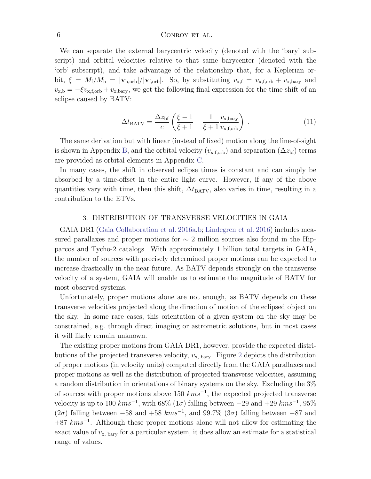### 6 CONROY ET AL.

We can separate the external barycentric velocity (denoted with the 'bary' subscript) and orbital velocities relative to that same barycenter (denoted with the 'orb' subscript), and take advantage of the relationship that, for a Keplerian orbit,  $\xi = M_f/M_b = |\mathbf{v}_{b,orb}|/|\mathbf{v}_{f,orb}|$ . So, by substituting  $v_{x,f} = v_{x,f,orb} + v_{x,bary}$  and  $v_{x,b} = -\xi v_{x,f,orb} + v_{x,bary}$ , we get the following final expression for the time shift of an eclipse caused by BATV:

$$
\Delta t_{\text{BATV}} = \frac{\Delta z_{\text{bf}}}{c} \left( \frac{\xi - 1}{\xi + 1} - \frac{1}{\xi + 1} \frac{v_{\text{x, bary}}}{v_{\text{x,forb}}} \right) . \tag{11}
$$

<span id="page-5-1"></span>The same derivation but with linear (instead of fixed) motion along the line-of-sight is shown in Appendix [B,](#page-21-0) and the orbital velocity  $(v_{x,f,orb})$  and separation  $(\Delta z_{\rm bf})$  terms are provided as orbital elements in Appendix [C.](#page-22-1)

In many cases, the shift in observed eclipse times is constant and can simply be absorbed by a time-offset in the entire light curve. However, if any of the above quantities vary with time, then this shift,  $\Delta t_{\text{BATV}}$ , also varies in time, resulting in a contribution to the ETVs.

#### 3. DISTRIBUTION OF TRANSVERSE VELOCITIES IN GAIA

<span id="page-5-0"></span>GAIA DR1 [\(Gaia Collaboration et al. 2016a](#page-23-16)[,b;](#page-23-17) [Lindegren et al. 2016](#page-23-18)) includes measured parallaxes and proper motions for  $\sim$  2 million sources also found in the Hipparcos and Tycho-2 catalogs. With approximately 1 billion total targets in GAIA, the number of sources with precisely determined proper motions can be expected to increase drastically in the near future. As BATV depends strongly on the transverse velocity of a system, GAIA will enable us to estimate the magnitude of BATV for most observed systems.

Unfortunately, proper motions alone are not enough, as BATV depends on these transverse velocities projected along the direction of motion of the eclipsed object on the sky. In some rare cases, this orientation of a given system on the sky may be constrained, e.g. through direct imaging or astrometric solutions, but in most cases it will likely remain unknown.

The existing proper motions from GAIA DR1, however, provide the expected distributions of the projected transverse velocity,  $v_{\rm x, bary}$ . Figure [2](#page-6-1) depicts the distribution of proper motions (in velocity units) computed directly from the GAIA parallaxes and proper motions as well as the distribution of projected transverse velocities, assuming a random distribution in orientations of binary systems on the sky. Excluding the 3% of sources with proper motions above 150  $km s^{-1}$ , the expected projected transverse velocity is up to 100  $km s^{-1}$ , with 68% (1 $\sigma$ ) falling between  $-29$  and  $+29$   $km s^{-1}$ , 95% ( $2\sigma$ ) falling between  $-58$  and  $+58$  kms<sup>-1</sup>, and  $99.7\%$  ( $3\sigma$ ) falling between  $-87$  and  $+87$  kms<sup>-1</sup>. Although these proper motions alone will not allow for estimating the exact value of  $v_{x, \text{ bary}}$  for a particular system, it does allow an estimate for a statistical range of values.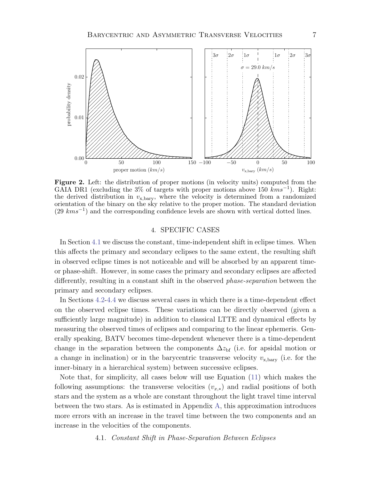

<span id="page-6-1"></span>Figure 2. Left: the distribution of proper motions (in velocity units) computed from the GAIA DR1 (excluding the 3% of targets with proper motions above 150  $km s^{-1}$ ). Right: the derived distribution in  $v_{\rm x, bary}$ , where the velocity is determined from a randomized orientation of the binary on the sky relative to the proper motion. The standard deviation (29 kms<sup>-1</sup>) and the corresponding confidence levels are shown with vertical dotted lines.

## 4. SPECIFIC CASES

<span id="page-6-0"></span>In Section [4.1](#page-6-2) we discuss the constant, time-independent shift in eclipse times. When this affects the primary and secondary eclipses to the same extent, the resulting shift in observed eclipse times is not noticeable and will be absorbed by an apparent timeor phase-shift. However, in some cases the primary and secondary eclipses are affected differently, resulting in a constant shift in the observed phase-separation between the primary and secondary eclipses.

In Sections [4.2-](#page-10-0)[4.4](#page-14-0) we discuss several cases in which there is a time-dependent effect on the observed eclipse times. These variations can be directly observed (given a sufficiently large magnitude) in addition to classical LTTE and dynamical effects by measuring the observed times of eclipses and comparing to the linear ephemeris. Generally speaking, BATV becomes time-dependent whenever there is a time-dependent change in the separation between the components  $\Delta z_{\rm bf}$  (i.e. for apsidal motion or a change in inclination) or in the barycentric transverse velocity  $v_{x, bary}$  (i.e. for the inner-binary in a hierarchical system) between successive eclipses.

Note that, for simplicity, all cases below will use Equation [\(11\)](#page-5-1) which makes the following assumptions: the transverse velocities  $(v_{x,*})$  and radial positions of both stars and the system as a whole are constant throughout the light travel time interval between the two stars. As is estimated in Appendix [A,](#page-20-0) this approximation introduces more errors with an increase in the travel time between the two components and an increase in the velocities of the components.

#### <span id="page-6-2"></span>4.1. Constant Shift in Phase-Separation Between Eclipses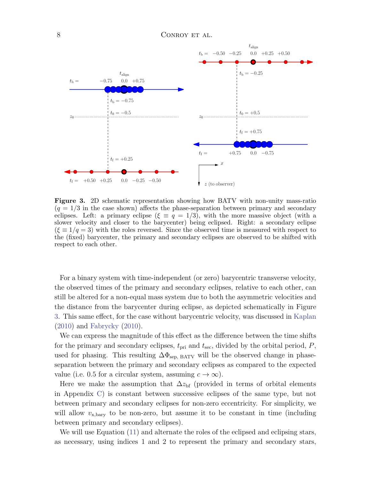

<span id="page-7-0"></span>**Figure 3.** 2D schematic representation showing how BATV with non-unity mass-ratio  $(q = 1/3$  in the case shown) affects the phase-separation between primary and secondary eclipses. Left: a primary eclipse  $(\xi \equiv q = 1/3)$ , with the more massive object (with a slower velocity and closer to the barycenter) being eclipsed. Right: a secondary eclipse  $(\xi \equiv 1/q = 3)$  with the roles reversed. Since the observed time is measured with respect to the (fixed) barycenter, the primary and secondary eclipses are observed to be shifted with respect to each other.

For a binary system with time-independent (or zero) barycentric transverse velocity, the observed times of the primary and secondary eclipses, relative to each other, can still be altered for a non-equal mass system due to both the asymmetric velocities and the distance from the barycenter during eclipse, as depicted schematically in Figure [3.](#page-7-0) This same effect, for the case without barycentric velocity, was discussed in [Kaplan](#page-23-3) [\(2010\)](#page-23-3) and [Fabrycky](#page-23-19) [\(2010](#page-23-19)).

We can express the magnitude of this effect as the difference between the time shifts for the primary and secondary eclipses,  $t_{\text{pri}}$  and  $t_{\text{sec}}$ , divided by the orbital period, P, used for phasing. This resulting  $\Delta\Phi_{\rm sep, BATV}$  will be the observed change in phaseseparation between the primary and secondary eclipses as compared to the expected value (i.e. 0.5 for a circular system, assuming  $c \to \infty$ ).

Here we make the assumption that  $\Delta z_{\rm bf}$  (provided in terms of orbital elements in Appendix [C\)](#page-22-1) is constant between successive eclipses of the same type, but not between primary and secondary eclipses for non-zero eccentricity. For simplicity, we will allow  $v_{\rm x, bary}$  to be non-zero, but assume it to be constant in time (including between primary and secondary eclipses).

We will use Equation  $(11)$  and alternate the roles of the eclipsed and eclipsing stars, as necessary, using indices 1 and 2 to represent the primary and secondary stars,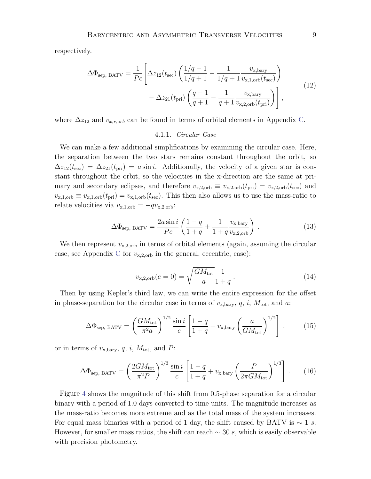respectively.

<span id="page-8-0"></span>
$$
\Delta \Phi_{\text{sep, BATV}} = \frac{1}{Pc} \left[ \Delta z_{12}(t_{\text{sec}}) \left( \frac{1/q - 1}{1/q + 1} - \frac{1}{1/q + 1} \frac{v_{\text{x, bary}}}{v_{\text{x,1,orb}}(t_{\text{sec}})} \right) - \Delta z_{21}(t_{\text{pri}}) \left( \frac{q - 1}{q + 1} - \frac{1}{q + 1} \frac{v_{\text{x, bary}}}{v_{\text{x,2,orb}}(t_{\text{pri}})} \right) \right],
$$
\n(12)

where  $\Delta z_{12}$  and  $v_{x,*,orb}$  can be found in terms of orbital elements in Appendix [C.](#page-22-1)

#### 4.1.1. Circular Case

We can make a few additional simplifications by examining the circular case. Here, the separation between the two stars remains constant throughout the orbit, so  $\Delta z_{12}(t_{\rm sec}) = \Delta z_{21}(t_{\rm pri}) = a \sin i$ . Additionally, the velocity of a given star is constant throughout the orbit, so the velocities in the x-direction are the same at primary and secondary eclipses, and therefore  $v_{\rm x,2,orb} \equiv v_{\rm x,2,orb}(t_{\rm pri}) = v_{\rm x,2,orb}(t_{\rm sec})$  and  $v_{\rm x,1,orb} \equiv v_{\rm x,1,orb}(t_{\rm pri}) = v_{\rm x,1,orb}(t_{\rm sec})$ . This then also allows us to use the mass-ratio to relate velocities via  $v_{\text{x,1,orb}} = -qv_{\text{x,2,orb}}$ :

$$
\Delta\Phi_{\text{sep, BATV}} = \frac{2a\sin i}{Pc} \left( \frac{1-q}{1+q} + \frac{1}{1+q} \frac{v_{\text{x, bary}}}{v_{\text{x, 2,orb}}} \right) \,. \tag{13}
$$

We then represent  $v_{\rm x,2,orb}$  in terms of orbital elements (again, assuming the circular case, see Appendix [C](#page-22-1) for  $v_{\rm x,2,orb}$  in the general, eccentric, case):

<span id="page-8-2"></span><span id="page-8-1"></span>
$$
v_{\rm x,2,orb}(e=0) = \sqrt{\frac{GM_{\rm tot}}{a}} \frac{1}{1+q} \,. \tag{14}
$$

Then by using Kepler's third law, we can write the entire expression for the offset in phase-separation for the circular case in terms of  $v_{\text{x, bary}}, q, i, M_{\text{tot}},$  and a:

$$
\Delta \Phi_{\rm sep, \, BATV} = \left(\frac{GM_{\rm tot}}{\pi^2 a}\right)^{1/2} \frac{\sin i}{c} \left[\frac{1-q}{1+q} + v_{\rm x, bary} \left(\frac{a}{GM_{\rm tot}}\right)^{1/2}\right],\tag{15}
$$

or in terms of  $v_{\rm x, bary}$ , q, i,  $M_{\rm tot}$ , and P:

$$
\Delta \Phi_{\rm sep, \, BATV} = \left(\frac{2GM_{\rm tot}}{\pi^2 P}\right)^{1/3} \frac{\sin i}{c} \left[\frac{1-q}{1+q} + v_{\rm x, bary} \left(\frac{P}{2\pi GM_{\rm tot}}\right)^{1/3}\right] \,. \tag{16}
$$

Figure [4](#page-9-0) shows the magnitude of this shift from 0.5-phase separation for a circular binary with a period of 1.0 days converted to time units. The magnitude increases as the mass-ratio becomes more extreme and as the total mass of the system increases. For equal mass binaries with a period of 1 day, the shift caused by BATV is  $\sim 1$  s. However, for smaller mass ratios, the shift can reach  $\sim$  30 s, which is easily observable with precision photometry.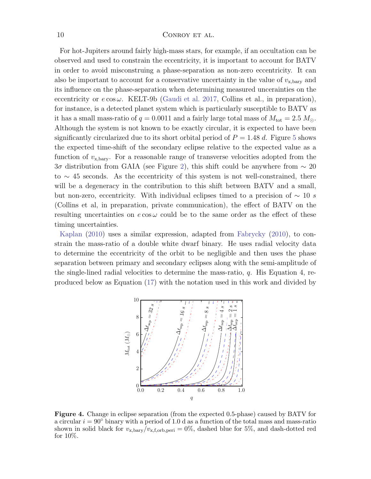For hot-Jupiters around fairly high-mass stars, for example, if an occultation can be observed and used to constrain the eccentricity, it is important to account for BATV in order to avoid misconstruing a phase-separation as non-zero eccentricity. It can also be important to account for a conservative uncertainty in the value of  $v_{\text{x, bary}}$  and its influence on the phase-separation when determining measured uncerainties on the eccentricity or  $e \cos \omega$ . KELT-9b [\(Gaudi et al. 2017,](#page-23-20) Collins et al., in preparation), for instance, is a detected planet system which is particularly susceptible to BATV as it has a small mass-ratio of  $q = 0.0011$  and a fairly large total mass of  $M_{\text{tot}} = 2.5 M_{\odot}$ . Although the system is not known to be exactly circular, it is expected to have been significantly circularized due to its short orbital period of  $P = 1.48$  d. Figure [5](#page-10-1) shows the expected time-shift of the secondary eclipse relative to the expected value as a function of  $v_{x, \text{bary}}$ . For a reasonable range of transverse velocities adopted from the 3 $\sigma$  distribution from GAIA (see Figure [2\)](#page-6-1), this shift could be anywhere from  $\sim$  20 to ∼ 45 seconds. As the eccentricity of this system is not well-constrained, there will be a degeneracy in the contribution to this shift between BATV and a small, but non-zero, eccentricity. With individual eclipses timed to a precision of  $\sim 10 s$ (Collins et al, in preparation, private communication), the effect of BATV on the resulting uncertainties on  $e \cos \omega$  could be to the same order as the effect of these timing uncertainties.

[Kaplan](#page-23-3) [\(2010\)](#page-23-3) uses a similar expression, adapted from [Fabrycky](#page-23-19) [\(2010\)](#page-23-19), to constrain the mass-ratio of a double white dwarf binary. He uses radial velocity data to determine the eccentricity of the orbit to be negligible and then uses the phase separation between primary and secondary eclipses along with the semi-amplitude of the single-lined radial velocities to determine the mass-ratio,  $q$ . His Equation 4, reproduced below as Equation [\(17\)](#page-10-2) with the notation used in this work and divided by



<span id="page-9-0"></span>Figure 4. Change in eclipse separation (from the expected 0.5-phase) caused by BATV for a circular  $i = 90°$  binary with a period of 1.0 d as a function of the total mass and mass-ratio shown in solid black for  $v_{\rm x, bary}/v_{\rm x, f, orb, peri} = 0\%$ , dashed blue for 5%, and dash-dotted red for 10%.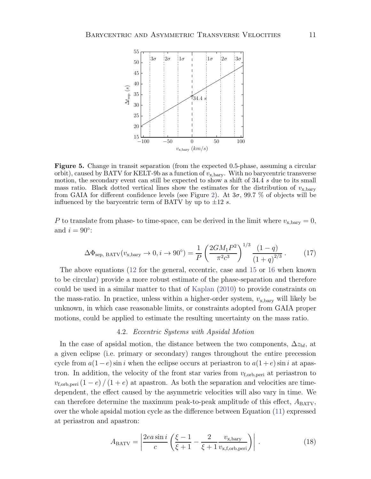

<span id="page-10-1"></span>Figure 5. Change in transit separation (from the expected 0.5-phase, assuming a circular orbit), caused by BATV for KELT-9b as a function of  $v_{\rm x, bary}$ . With no barycentric transverse motion, the secondary event can still be expected to show a shift of 34.4 s due to its small mass ratio. Black dotted vertical lines show the estimates for the distribution of  $v_{\text{x,bary}}$ from GAIA for different confidence levels (see Figure [2\)](#page-6-1). At  $3\sigma$ , 99.7 % of objects will be influenced by the barycentric term of BATV by up to  $\pm 12$  s.

<span id="page-10-2"></span>P to translate from phase- to time-space, can be derived in the limit where  $v_{x, bary} = 0$ , and  $i = 90^\circ$ :

$$
\Delta\Phi_{\text{sep, BATV}}(v_{\text{x, bary}} \to 0, i \to 90^{\circ}) = \frac{1}{P} \left( \frac{2GM_1P^2}{\pi^2c^3} \right)^{1/3} \frac{(1-q)}{(1+q)^{2/3}}.
$$
 (17)

The above equations [\(12](#page-8-0) for the general, eccentric, case and [15](#page-8-1) or [16](#page-8-2) when known to be circular) provide a more robust estimate of the phase-separation and therefore could be used in a similar matter to that of [Kaplan](#page-23-3) [\(2010\)](#page-23-3) to provide constraints on the mass-ratio. In practice, unless within a higher-order system,  $v_{\rm x, bary}$  will likely be unknown, in which case reasonable limits, or constraints adopted from GAIA proper motions, could be applied to estimate the resulting uncertainty on the mass ratio.

#### 4.2. Eccentric Systems with Apsidal Motion

<span id="page-10-0"></span>In the case of apsidal motion, the distance between the two components,  $\Delta z_{\text{bf}}$ , at a given eclipse (i.e. primary or secondary) ranges throughout the entire precession cycle from  $a(1-e)$  sin i when the eclipse occurs at periastron to  $a(1+e)$  sin i at apastron. In addition, the velocity of the front star varies from  $v_{f,orb,peri}$  at periastron to  $v_{\rm f,orb, peri} (1 - e)/(1 + e)$  at apastron. As both the separation and velocities are timedependent, the effect caused by the asymmetric velocities will also vary in time. We can therefore determine the maximum peak-to-peak amplitude of this effect,  $A_{\text{BATV}}$ , over the whole apsidal motion cycle as the difference between Equation [\(11\)](#page-5-1) expressed at periastron and apastron:

<span id="page-10-3"></span>
$$
A_{\text{BATV}} = \left| \frac{2ea\sin i}{c} \left( \frac{\xi - 1}{\xi + 1} - \frac{2}{\xi + 1} \frac{v_{\text{x, bary}}}{v_{\text{x,f,orb,peri}}} \right) \right| \,. \tag{18}
$$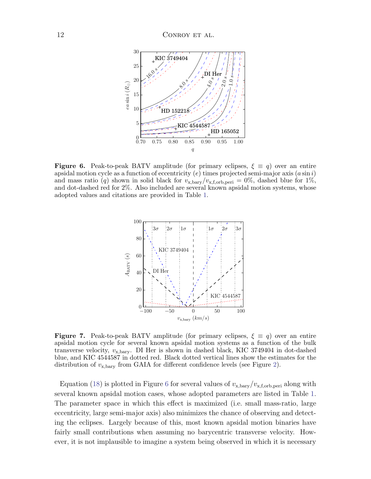

<span id="page-11-0"></span>**Figure 6.** Peak-to-peak BATV amplitude (for primary eclipses,  $\xi \equiv q$ ) over an entire apsidal motion cycle as a function of eccentricity (e) times projected semi-major axis  $(a \sin i)$ and mass ratio (q) shown in solid black for  $v_{\rm x, bary}/v_{\rm x, f, orb, peri} = 0\%$ , dashed blue for 1%, and dot-dashed red for 2%. Also included are several known apsidal motion systems, whose adopted values and citations are provided in Table [1.](#page-13-0)



<span id="page-11-1"></span>**Figure 7.** Peak-to-peak BATV amplitude (for primary eclipses,  $\xi \equiv q$ ) over an entire apsidal motion cycle for several known apsidal motion systems as a function of the bulk transverse velocity,  $v_{\rm x, bary}$ . DI Her is shown in dashed black, KIC 3749404 in dot-dashed blue, and KIC 4544587 in dotted red. Black dotted vertical lines show the estimates for the distribution of  $v_{\rm x, bary}$  from GAIA for different confidence levels (see Figure [2\)](#page-6-1).

Equation [\(18\)](#page-10-3) is plotted in Figure [6](#page-11-0) for several values of  $v_{\rm x, bary}/v_{\rm x, f, orb, peri}$  along with several known apsidal motion cases, whose adopted parameters are listed in Table [1.](#page-13-0) The parameter space in which this effect is maximized (i.e. small mass-ratio, large eccentricity, large semi-major axis) also minimizes the chance of observing and detecting the eclipses. Largely because of this, most known apsidal motion binaries have fairly small contributions when assuming no barycentric transverse velocity. However, it is not implausible to imagine a system being observed in which it is necessary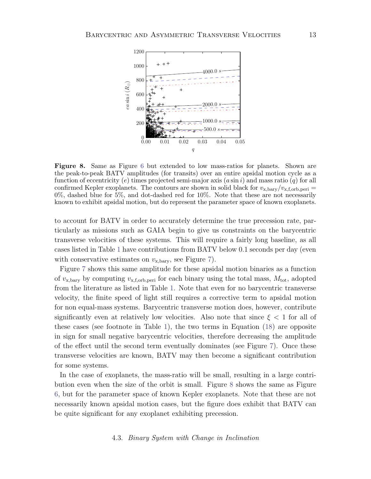

<span id="page-12-0"></span>Figure 8. Same as Figure [6](#page-11-0) but extended to low mass-ratios for planets. Shown are the peak-to-peak BATV amplitudes (for transits) over an entire apsidal motion cycle as a function of eccentricity (e) times projected semi-major axis  $(a \sin i)$  and mass ratio (q) for all confirmed Kepler exoplanets. The contours are shown in solid black for  $v_{\text{x, bary}}/v_{\text{x,f,orb,peri}} =$  $0\%$ , dashed blue for 5%, and dot-dashed red for  $10\%$ . Note that these are not necessarily known to exhibit apsidal motion, but do represent the parameter space of known exoplanets.

to account for BATV in order to accurately determine the true precession rate, particularly as missions such as GAIA begin to give us constraints on the barycentric transverse velocities of these systems. This will require a fairly long baseline, as all cases listed in Table [1](#page-13-0) have contributions from BATV below 0.1 seconds per day (even with conservative estimates on  $v_{x, bary}$ , see Figure [7\)](#page-11-1).

Figure [7](#page-11-1) shows this same amplitude for these apsidal motion binaries as a function of  $v_{\rm x, bary}$  by computing  $v_{\rm x, f, orb, peri}$  for each binary using the total mass,  $M_{\rm tot}$ , adopted from the literature as listed in Table [1.](#page-13-0) Note that even for no barycentric transverse velocity, the finite speed of light still requires a corrective term to apsidal motion for non equal-mass systems. Barycentric transverse motion does, however, contribute significantly even at relatively low velocities. Also note that since  $\xi < 1$  for all of these cases (see footnote in Table [1\)](#page-13-0), the two terms in Equation [\(18\)](#page-10-3) are opposite in sign for small negative barycentric velocities, therefore decreasing the amplitude of the effect until the second term eventually dominates (see Figure [7\)](#page-11-1). Once these transverse velocities are known, BATV may then become a significant contribution for some systems.

In the case of exoplanets, the mass-ratio will be small, resulting in a large contribution even when the size of the orbit is small. Figure [8](#page-12-0) shows the same as Figure [6,](#page-11-0) but for the parameter space of known Kepler exoplanets. Note that these are not necessarily known apsidal motion cases, but the figure does exhibit that BATV can be quite significant for any exoplanet exhibiting precession.

## 4.3. Binary System with Change in Inclination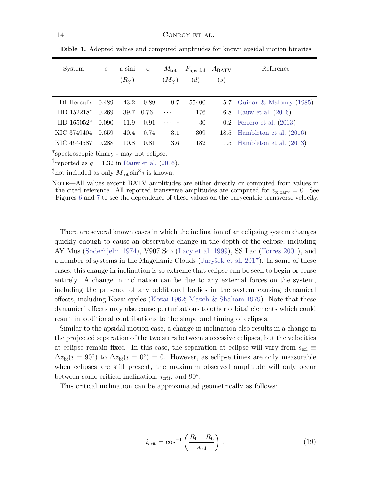| System       | e     | a sini<br>$(R_{\odot})$ | q                | $M_{\rm tot}$<br>$(M_{\odot})$ | $P_{\text{apsidal}}$<br>(d) | $A_{\text{BATV}}$<br>$\left( s\right)$ | Reference                     |
|--------------|-------|-------------------------|------------------|--------------------------------|-----------------------------|----------------------------------------|-------------------------------|
| DI Herculis  | 0.489 | 43.2                    | 0.89             | 9.7                            | 55400                       |                                        | 5.7 Guinan & Maloney $(1985)$ |
| $HD 152218*$ | 0.269 | 39.7                    | $0.76^{\dagger}$ | $\ldots$ $\vdots$              | 176                         |                                        | 6.8 Rauw et al. (2016)        |
| $HD 165052*$ | 0.090 | 11.9                    | 0.91             | $\cdots$ $\pm$                 | 30                          |                                        | $0.2$ Ferrero et al. $(2013)$ |
| KIC 3749404  | 0.659 | 40.4                    | 0.74             | 3.1                            | 309                         | 18.5                                   | Hambleton et al. (2016)       |
| KIC 4544587  | 0.288 | 10.8                    | 0.81             | 3.6                            | 182                         |                                        | 1.5 Hambleton et al. $(2013)$ |

<span id="page-13-0"></span>Table 1. Adopted values and computed amplitudes for known apsidal motion binaries

∗spectroscopic binary - may not eclipse.

Freported as  $q = 1.32$  in [Rauw et al.](#page-23-22) [\(2016](#page-23-22)).

<sup>‡</sup>not included as only  $M_{\text{tot}} \sin^3 i$  is known.

NOTE—All values except BATV amplitudes are either directly or computed from values in the cited reference. All reported transverse amplitudes are computed for  $v_{\text{x, bary}} = 0$ . See Figures [6](#page-11-0) and [7](#page-11-1) to see the dependence of these values on the barycentric transverse velocity.

There are several known cases in which the inclination of an eclipsing system changes quickly enough to cause an observable change in the depth of the eclipse, including AY Mus [\(Soderhjelm 1974\)](#page-23-26), V907 Sco [\(Lacy et al. 1999\)](#page-23-27), SS Lac [\(Torres 2001](#page-23-28)), and a number of systems in the Magellanic Clouds (Juryšek et al. 2017). In some of these cases, this change in inclination is so extreme that eclipse can be seen to begin or cease entirely. A change in inclination can be due to any external forces on the system, including the presence of any additional bodies in the system causing dynamical effects, including Kozai cycles [\(Kozai 1962](#page-23-30); [Mazeh & Shaham 1979](#page-23-31)). Note that these dynamical effects may also cause perturbations to other orbital elements which could result in additional contributions to the shape and timing of eclipses.

Similar to the apsidal motion case, a change in inclination also results in a change in the projected separation of the two stars between successive eclipses, but the velocities at eclipse remain fixed. In this case, the separation at eclipse will vary from  $s_{\text{ecl}} \equiv$  $\Delta z_{\rm bf}(i = 90^\circ)$  to  $\Delta z_{\rm bf}(i = 0^\circ) = 0$ . However, as eclipse times are only measurable when eclipses are still present, the maximum observed amplitude will only occur between some critical inclination,  $i_{\text{crit}}$ , and  $90°$ .

This critical inclination can be approximated geometrically as follows:

$$
i_{\rm crit} = \cos^{-1}\left(\frac{R_{\rm f} + R_{\rm b}}{s_{\rm ecl}}\right) \,,\tag{19}
$$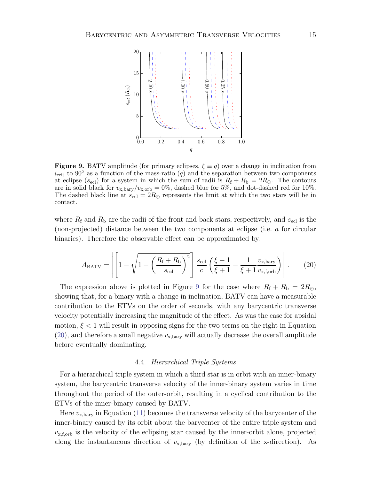

<span id="page-14-1"></span>**Figure 9.** BATV amplitude (for primary eclipses,  $\xi \equiv q$ ) over a change in inclination from  $i_{\text{crit}}$  to 90° as a function of the mass-ratio (q) and the separation between two components at eclipse ( $s_{\text{ecl}}$ ) for a system in which the sum of radii is  $R_{\text{f}} + R_{\text{b}} = 2R_{\odot}$ . The contours are in solid black for  $v_{\text{x,bary}}/v_{\text{x,orb}} = 0\%$ , dashed blue for 5%, and dot-dashed red for 10%. The dashed black line at  $s_{\text{ecl}} = 2R_{\odot}$  represents the limit at which the two stars will be in contact.

<span id="page-14-2"></span>where  $R_f$  and  $R_b$  are the radii of the front and back stars, respectively, and  $s_{\text{ecl}}$  is the (non-projected) distance between the two components at eclipse (i.e. a for circular binaries). Therefore the observable effect can be approximated by:

$$
A_{\text{BATV}} = \left| \left[ 1 - \sqrt{1 - \left( \frac{R_{\text{f}} + R_{\text{b}}}{s_{\text{ecl}}} \right)^2} \right] \frac{s_{\text{ecl}}}{c} \left( \frac{\xi - 1}{\xi + 1} - \frac{1}{\xi + 1} \frac{v_{\text{x, bary}}}{v_{\text{x, f, orb}}} \right) \right| \,. \tag{20}
$$

The expression above is plotted in Figure [9](#page-14-1) for the case where  $R_f + R_b = 2R_{\odot}$ , showing that, for a binary with a change in inclination, BATV can have a measurable contribution to the ETVs on the order of seconds, with any barycentric transverse velocity potentially increasing the magnitude of the effect. As was the case for apsidal motion,  $\xi$  < 1 will result in opposing signs for the two terms on the right in Equation  $(20)$ , and therefore a small negative  $v_{\rm x, bary}$  will actually decrease the overall amplitude before eventually dominating.

#### 4.4. Hierarchical Triple Systems

<span id="page-14-0"></span>For a hierarchical triple system in which a third star is in orbit with an inner-binary system, the barycentric transverse velocity of the inner-binary system varies in time throughout the period of the outer-orbit, resulting in a cyclical contribution to the ETVs of the inner-binary caused by BATV.

Here  $v_{\rm x, bary}$  in Equation [\(11\)](#page-5-1) becomes the transverse velocity of the barycenter of the inner-binary caused by its orbit about the barycenter of the entire triple system and  $v_{\rm x,f,orb}$  is the velocity of the eclipsing star caused by the inner-orbit alone, projected along the instantaneous direction of  $v_{x, bary}$  (by definition of the x-direction). As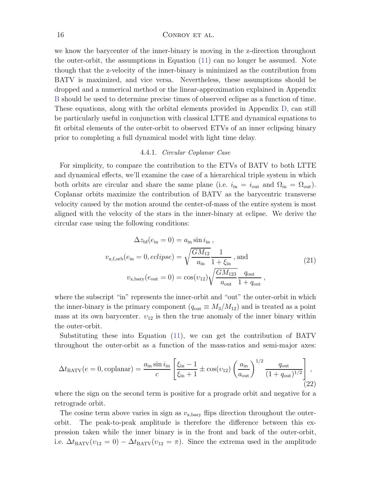#### 16 CONROY ET AL.

we know the barycenter of the inner-binary is moving in the z-direction throughout the outer-orbit, the assumptions in Equation [\(11\)](#page-5-1) can no longer be assumed. Note though that the z-velocity of the inner-binary is minimized as the contribution from BATV is maximized, and vice versa. Nevertheless, these assumptions should be dropped and a numerical method or the linear-approximation explained in Appendix [B](#page-21-0) should be used to determine precise times of observed eclipse as a function of time. These equations, along with the orbital elements provided in Appendix [D,](#page-22-2) can still be particularly useful in conjunction with classical LTTE and dynamical equations to fit orbital elements of the outer-orbit to observed ETVs of an inner eclipsing binary prior to completing a full dynamical model with light time delay.

#### 4.4.1. Circular Coplanar Case

For simplicity, to compare the contribution to the ETVs of BATV to both LTTE and dynamical effects, we'll examine the case of a hierarchical triple system in which both orbits are circular and share the same plane (i.e.  $i_{\rm in} = i_{\rm out}$  and  $\Omega_{\rm in} = \Omega_{\rm out}$ ). Coplanar orbits maximize the contribution of BATV as the barycentric transverse velocity caused by the motion around the center-of-mass of the entire system is most aligned with the velocity of the stars in the inner-binary at eclipse. We derive the circular case using the following conditions:

$$
\Delta z_{\rm bf}(e_{\rm in} = 0) = a_{\rm in} \sin i_{\rm in} ,
$$
  

$$
v_{\rm x,f,orb}(e_{\rm in} = 0, eclipse) = \sqrt{\frac{GM_{12}}{a_{\rm in}}} \frac{1}{1 + \xi_{\rm in}}, \text{ and}
$$
  

$$
v_{\rm x,bary}(e_{\rm out} = 0) = \cos(v_{12}) \sqrt{\frac{GM_{123}}{a_{\rm out}}} \frac{q_{\rm out}}{1 + q_{\rm out}},
$$
 (21)

where the subscript "in" represents the inner-orbit and "out" the outer-orbit in which the inner-binary is the primary component  $(q_{\text{out}} \equiv M_3/M_{12})$  and is treated as a point mass at its own barycenter.  $v_{12}$  is then the true anomaly of the inner binary within the outer-orbit.

Substituting these into Equation [\(11\)](#page-5-1), we can get the contribution of BATV throughout the outer-orbit as a function of the mass-ratios and semi-major axes:

<span id="page-15-0"></span>
$$
\Delta t_{\text{BATV}}(e=0, \text{coplanar}) = \frac{a_{\text{in}} \sin i_{\text{in}}}{c} \left[ \frac{\xi_{\text{in}} - 1}{\xi_{\text{in}} + 1} \pm \cos(v_{12}) \left( \frac{a_{\text{in}}}{a_{\text{out}}} \right)^{1/2} \frac{q_{\text{out}}}{(1 + q_{\text{out}})^{1/2}} \right],
$$
\n(22)

where the sign on the second term is positive for a prograde orbit and negative for a retrograde orbit.

The cosine term above varies in sign as  $v_{x, bary}$  flips direction throughout the outerorbit. The peak-to-peak amplitude is therefore the difference between this expression taken while the inner binary is in the front and back of the outer-orbit, i.e.  $\Delta t_{\text{BATV}}(v_{12} = 0) - \Delta t_{\text{BATV}}(v_{12} = \pi)$ . Since the extrema used in the amplitude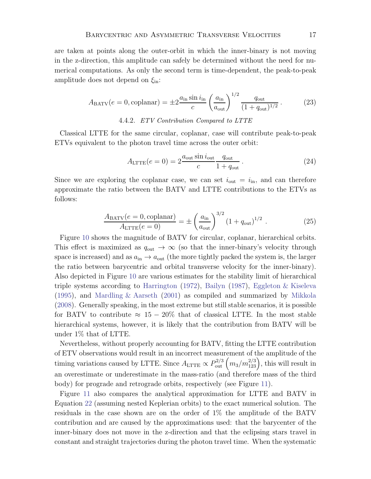<span id="page-16-0"></span>are taken at points along the outer-orbit in which the inner-binary is not moving in the z-direction, this amplitude can safely be determined without the need for numerical computations. As only the second term is time-dependent, the peak-to-peak amplitude does not depend on  $\xi_{\rm in}$ :

$$
A_{\text{BATV}}(e=0,\text{coplanar}) = \pm 2 \frac{a_{\text{in}} \sin i_{\text{in}}}{c} \left(\frac{a_{\text{in}}}{a_{\text{out}}}\right)^{1/2} \frac{q_{\text{out}}}{(1+q_{\text{out}})^{1/2}}.
$$
 (23)

### 4.4.2. ETV Contribution Compared to LTTE

Classical LTTE for the same circular, coplanar, case will contribute peak-to-peak ETVs equivalent to the photon travel time across the outer orbit:

$$
A_{\text{LTTE}}(e=0) = 2 \frac{a_{\text{out}} \sin i_{\text{out}}}{c} \frac{q_{\text{out}}}{1 + q_{\text{out}}} \,. \tag{24}
$$

<span id="page-16-1"></span>Since we are exploring the coplanar case, we can set  $i_{\text{out}} = i_{\text{in}}$ , and can therefore approximate the ratio between the BATV and LTTE contributions to the ETVs as follows:

$$
\frac{A_{\text{BATV}}(e=0, \text{coplanar})}{A_{\text{LTTE}}(e=0)} = \pm \left(\frac{a_{\text{in}}}{a_{\text{out}}}\right)^{3/2} (1 + q_{\text{out}})^{1/2} . \tag{25}
$$

Figure [10](#page-17-0) shows the magnitude of BATV for circular, coplanar, hierarchical orbits. This effect is maximized as  $q_{\text{out}} \to \infty$  (so that the inner-binary's velocity through space is increased) and as  $a_{\rm in} \rightarrow a_{\rm out}$  (the more tightly packed the system is, the larger the ratio between barycentric and orbital transverse velocity for the inner-binary). Also depicted in Figure [10](#page-17-0) are various estimates for the stability limit of hierarchical triple systems according to [Harrington](#page-23-32) [\(1972\)](#page-23-32), [Bailyn](#page-22-3) [\(1987\)](#page-22-3), [Eggleton & Kiseleva](#page-23-33) [\(1995\)](#page-23-33), and [Mardling & Aarseth](#page-23-34) [\(2001\)](#page-23-34) as compiled and summarized by [Mikkola](#page-23-35) [\(2008\)](#page-23-35). Generally speaking, in the most extreme but still stable scenarios, it is possible for BATV to contribute  $\approx 15-20\%$  that of classical LTTE. In the most stable hierarchical systems, however, it is likely that the contribution from BATV will be under 1% that of LTTE.

Nevertheless, without properly accounting for BATV, fitting the LTTE contribution of ETV observations would result in an incorrect measurement of the amplitude of the timing variations caused by LTTE. Since  $A_{\text{LITE}} \propto P_{\text{out}}^{2/3} (m_3/m_{123}^{2/3})$ , this will result in an overestimate or underestimate in the mass-ratio (and therefore mass of the third body) for prograde and retrograde orbits, respectively (see Figure [11\)](#page-18-0).

Figure [11](#page-18-0) also compares the analytical approximation for LTTE and BATV in Equation [22](#page-15-0) (assuming nested Keplerian orbits) to the exact numerical solution. The residuals in the case shown are on the order of 1% the amplitude of the BATV contribution and are caused by the approximations used: that the barycenter of the inner-binary does not move in the z-direction and that the eclipsing stars travel in constant and straight trajectories during the photon travel time. When the systematic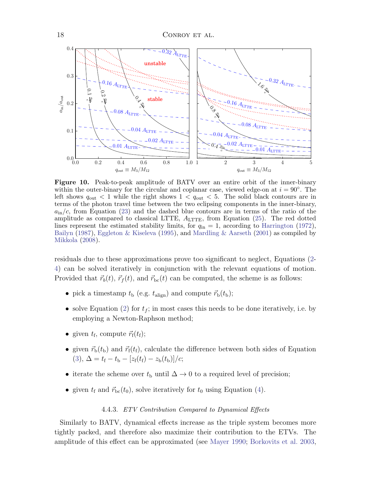

<span id="page-17-0"></span>Figure 10. Peak-to-peak amplitude of BATV over an entire orbit of the inner-binary within the outer-binary for the circular and coplanar case, viewed edge-on at  $i = 90°$ . The left shows  $q_{\text{out}} < 1$  while the right shows  $1 < q_{\text{out}} < 5$ . The solid black contours are in terms of the photon travel time between the two eclipsing components in the inner-binary,  $a_{\rm in}/c$ , from Equation [\(23\)](#page-16-0) and the dashed blue contours are in terms of the ratio of the amplitude as compared to classical LTTE,  $A_{\text{LTFF}}$ , from Equation [\(25\)](#page-16-1). The red dotted lines represent the estimated stability limits, for  $q_{\rm in} = 1$ , according to [Harrington](#page-23-32) [\(1972](#page-23-32)), [Bailyn](#page-22-3) [\(1987](#page-22-3)), [Eggleton & Kiseleva](#page-23-33) [\(1995](#page-23-33)), and [Mardling & Aarseth](#page-23-34) [\(2001](#page-23-34)) as compiled by [Mikkola](#page-23-35) [\(2008\)](#page-23-35).

residuals due to these approximations prove too significant to neglect, Equations [\(2-](#page-2-1) [4\)](#page-3-2) can be solved iteratively in conjunction with the relevant equations of motion. Provided that  $\vec{r}_b(t)$ ,  $\vec{r}_f(t)$ , and  $\vec{r}_{bc}(t)$  can be computed, the scheme is as follows:

- pick a timestamp  $t_b$  (e.g.  $t_{\text{align}}$ ) and compute  $\vec{r}_b(t_b)$ ;
- solve Equation [\(2\)](#page-2-1) for  $t_f$ ; in most cases this needs to be done iteratively, i.e. by employing a Newton-Raphson method;
- given  $t_{\text{f}}$ , compute  $\vec{r}_{\text{f}}(t_{\text{f}})$ ;
- given  $\vec{r}_b(t_b)$  and  $\vec{r}_f(t_f)$ , calculate the difference between both sides of Equation [\(3\)](#page-3-1),  $\Delta = t_f - t_b - [z_f(t_f) - z_b(t_b)]/c;$
- iterate the scheme over  $t<sub>b</sub>$  until  $\Delta \rightarrow 0$  to a required level of precision;
- given  $t_f$  and  $\vec{r}_{bc}(t_0)$ , solve iteratively for  $t_0$  using Equation [\(4\)](#page-3-2).

#### 4.4.3. ETV Contribution Compared to Dynamical Effects

Similarly to BATV, dynamical effects increase as the triple system becomes more tightly packed, and therefore also maximize their contribution to the ETVs. The amplitude of this effect can be approximated (see [Mayer 1990;](#page-23-36) [Borkovits et al. 2003,](#page-23-0)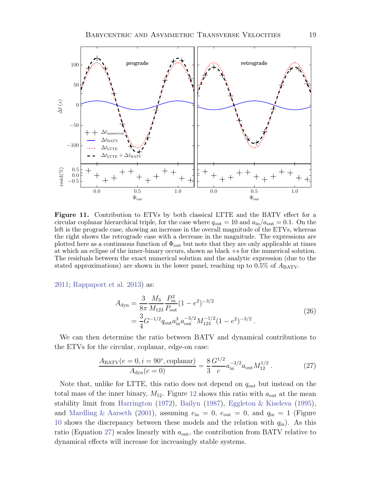

<span id="page-18-0"></span>Figure 11. Contribution to ETVs by both classical LTTE and the BATV effect for a circular coplanar hierarchical triple, for the case where  $q_{\text{out}} = 10$  and  $a_{\text{in}}/a_{\text{out}} = 0.1$ . On the left is the prograde case, showing an increase in the overall magnitude of the ETVs, whereas the right shows the retrograde case with a decrease in the magnitude. The expressions are plotted here as a continuous function of  $\Phi_{\text{out}}$  but note that they are only applicable at times at which an eclipse of the inner-binary occurs, shown as black +s for the numerical solution. The residuals between the exact numerical solution and the analytic expression (due to the stated approximations) are shown in the lower panel, reaching up to  $0.5\%$  of  $A_{\text{BATV}}$ .

[2011;](#page-23-2) [Rappaport et al. 2013\)](#page-23-11) as:

<span id="page-18-1"></span>
$$
A_{\rm dyn} = \frac{3}{8\pi} \frac{M_3}{M_{123}} \frac{P_{\rm in}^2}{P_{\rm out}} (1 - e^2)^{-3/2}
$$
  
= 
$$
\frac{3}{4} G^{-1/2} q_{\rm out} a_{\rm in}^3 a_{\rm out}^{-3/2} M_{123}^{-1/2} (1 - e^2)^{-3/2}.
$$
 (26)

We can then determine the ratio between BATV and dynamical contributions to the ETVs for the circular, coplanar, edge-on case:

$$
\frac{A_{\text{BATV}}(e=0, i=90^\circ, \text{coplanar})}{A_{\text{dyn}}(e=0)} = \frac{8}{3} \frac{G^{1/2}}{c} a_{\text{in}}^{-3/2} a_{\text{out}} M_{12}^{1/2} . \tag{27}
$$

Note that, unlike for LTTE, this ratio does not depend on  $q_{out}$  but instead on the total mass of the inner binary,  $M_{12}$  $M_{12}$  $M_{12}$ . Figure 12 shows this ratio with  $a_{\text{out}}$  at the mean stability limit from [Harrington](#page-23-32) [\(1972](#page-23-32)), [Bailyn](#page-22-3) [\(1987\)](#page-22-3), [Eggleton & Kiseleva](#page-23-33) [\(1995](#page-23-33)), and [Mardling & Aarseth](#page-23-34) [\(2001\)](#page-23-34), assuming  $e_{\text{in}} = 0$ ,  $e_{\text{out}} = 0$ , and  $q_{\text{in}} = 1$  (Figure [10](#page-17-0) shows the discrepancy between these models and the relation with  $q_{\rm in}$ ). As this ratio (Equation [27\)](#page-18-1) scales linearly with  $a_{\text{out}}$ , the contribution from BATV relative to dynamical effects will increase for increasingly stable systems.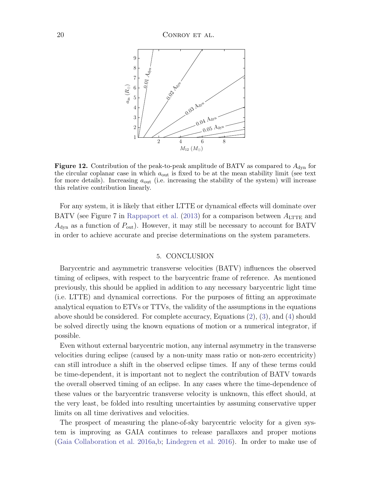

<span id="page-19-1"></span>**Figure 12.** Contribution of the peak-to-peak amplitude of BATV as compared to  $A_{\text{dyn}}$  for the circular coplanar case in which  $a_{\text{out}}$  is fixed to be at the mean stability limit (see text for more details). Increasing  $a_{\text{out}}$  (i.e. increasing the stability of the system) will increase this relative contribution linearly.

For any system, it is likely that either LTTE or dynamical effects will dominate over BATV (see Figure 7 in [Rappaport et al.](#page-23-11) [\(2013](#page-23-11)) for a comparison between  $A_{\text{LTTE}}$  and  $A_{\text{dyn}}$  as a function of  $P_{\text{out}}$ ). However, it may still be necessary to account for BATV in order to achieve accurate and precise determinations on the system parameters.

## 5. CONCLUSION

<span id="page-19-0"></span>Barycentric and asymmetric transverse velocities (BATV) influences the observed timing of eclipses, with respect to the barycentric frame of reference. As mentioned previously, this should be applied in addition to any necessary barycentric light time (i.e. LTTE) and dynamical corrections. For the purposes of fitting an approximate analytical equation to ETVs or TTVs, the validity of the assumptions in the equations above should be considered. For complete accuracy, Equations [\(2\)](#page-2-1), [\(3\)](#page-3-1), and [\(4\)](#page-3-2) should be solved directly using the known equations of motion or a numerical integrator, if possible.

Even without external barycentric motion, any internal asymmetry in the transverse velocities during eclipse (caused by a non-unity mass ratio or non-zero eccentricity) can still introduce a shift in the observed eclipse times. If any of these terms could be time-dependent, it is important not to neglect the contribution of BATV towards the overall observed timing of an eclipse. In any cases where the time-dependence of these values or the barycentric transverse velocity is unknown, this effect should, at the very least, be folded into resulting uncertainties by assuming conservative upper limits on all time derivatives and velocities.

The prospect of measuring the plane-of-sky barycentric velocity for a given system is improving as GAIA continues to release parallaxes and proper motions [\(Gaia Collaboration et al. 2016a,](#page-23-16)[b](#page-23-17); [Lindegren et al. 2016\)](#page-23-18). In order to make use of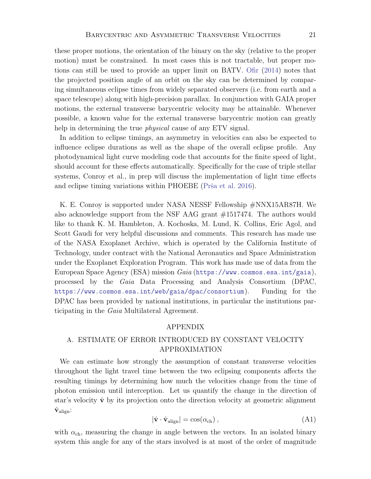these proper motions, the orientation of the binary on the sky (relative to the proper motion) must be constrained. In most cases this is not tractable, but proper motions can still be used to provide an upper limit on BATV. [Ofir](#page-23-37) [\(2014\)](#page-23-37) notes that the projected position angle of an orbit on the sky can be determined by comparing simultaneous eclipse times from widely separated observers (i.e. from earth and a space telescope) along with high-precision parallax. In conjunction with GAIA proper motions, the external transverse barycentric velocity may be attainable. Whenever possible, a known value for the external transverse barycentric motion can greatly help in determining the true *physical* cause of any ETV signal.

In addition to eclipse timings, an asymmetry in velocities can also be expected to influence eclipse durations as well as the shape of the overall eclipse profile. Any photodynamical light curve modeling code that accounts for the finite speed of light, should account for these effects automatically. Specifically for the case of triple stellar systems, Conroy et al., in prep will discuss the implementation of light time effects and eclipse timing variations within PHOEBE (Prša et al. 2016).

K. E. Conroy is supported under NASA NESSF Fellowship #NNX15AR87H. We also acknowledge support from the NSF AAG grant #1517474. The authors would like to thank K. M. Hambleton, A. Kochoska, M. Lund, K. Collins, Eric Agol, and Scott Gaudi for very helpful discussions and comments. This research has made use of the NASA Exoplanet Archive, which is operated by the California Institute of Technology, under contract with the National Aeronautics and Space Administration under the Exoplanet Exploration Program. This work has made use of data from the European Space Agency (ESA) mission Gaia (<https://www.cosmos.esa.int/gaia>), processed by the Gaia Data Processing and Analysis Consortium (DPAC, <https://www.cosmos.esa.int/web/gaia/dpac/consortium>). Funding for the DPAC has been provided by national institutions, in particular the institutions participating in the Gaia Multilateral Agreement.

## APPENDIX

# <span id="page-20-0"></span>A. ESTIMATE OF ERROR INTRODUCED BY CONSTANT VELOCITY APPROXIMATION

We can estimate how strongly the assumption of constant transverse velocities throughout the light travel time between the two eclipsing components affects the resulting timings by determining how much the velocities change from the time of photon emission until interception. Let us quantify the change in the direction of star's velocity  $\hat{\mathbf{v}}$  by its projection onto the direction velocity at geometric alignment  $\hat{\mathbf{v}}_{\text{alien}}$ :

$$
|\hat{\mathbf{v}} \cdot \hat{\mathbf{v}}_{\text{align}}| = \cos(\alpha_{\text{ch}}) ,
$$
 (A1)

with  $\alpha_{ch}$ , measuring the change in angle between the vectors. In an isolated binary system this angle for any of the stars involved is at most of the order of magnitude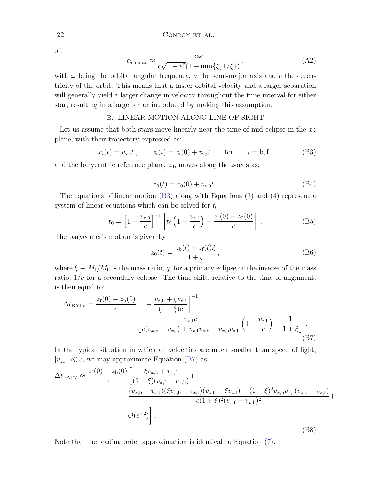of:

$$
\alpha_{\text{ch,max}} \approx \frac{a\omega}{c\sqrt{1 - e^2}(1 + \min\{\xi, 1/\xi\})},\tag{A2}
$$

with  $\omega$  being the orbital angular frequency, a the semi-major axis and e the eccentricity of the orbit. This means that a faster orbital velocity and a larger separation will generally yield a larger change in velocity throughout the time interval for either star, resulting in a larger error introduced by making this assumption.

## B. LINEAR MOTION ALONG LINE-OF-SIGHT

<span id="page-21-0"></span>Let us assume that both stars move linearly near the time of mid-eclipse in the  $xz$ plane, with their trajectory expressed as:

$$
x_i(t) = v_{x,i}t
$$
,  $z_i(t) = z_i(0) + v_{z,i}t$  for  $i = b, f$ , (B3)

and the barycentric reference plane,  $z_0$ , moves along the z-axis as:

<span id="page-21-1"></span>
$$
z_0(t) = z_0(0) + v_{z,0}t. \tag{B4}
$$

The equations of linear motion [\(B3\)](#page-21-1) along with Equations [\(3\)](#page-3-1) and [\(4\)](#page-3-2) represent a system of linear equations which can be solved for  $t_0$ :

$$
t_0 = \left[1 - \frac{v_{z,0}}{c}\right]^{-1} \left[ t_f \left(1 - \frac{v_{z,f}}{c}\right) - \frac{z_f(0) - z_0(0)}{c} \right].
$$
 (B5)

The barycenter's motion is given by:

$$
z_0(t) = \frac{z_b(t) + z_f(t)\xi}{1 + \xi} \,,\tag{B6}
$$

where  $\xi \equiv M_f/M_b$  is the mass ratio, q, for a primary eclipse or the inverse of the mass ratio,  $1/q$  for a secondary eclipse. The time shift, relative to the time of alignment, is then equal to:

<span id="page-21-2"></span>
$$
\Delta t_{\text{BATV}} = \frac{z_{\text{f}}(0) - z_{\text{b}}(0)}{c} \left[ 1 - \frac{v_{z,\text{b}} + \xi v_{z,\text{f}}}{(1 + \xi)c} \right]^{-1} \left[ \frac{v_{x,\text{f}}c}{c(v_{x,\text{b}} - v_{x,\text{f}}) + v_{x,\text{f}}v_{z,\text{b}} - v_{x,\text{b}}v_{z,\text{f}}} \left( 1 - \frac{v_{z,\text{f}}}{c} \right) - \frac{1}{1 + \xi} \right].
$$
\n(B7)

In the typical situation in which all velocities are much smaller than speed of light,  $|v_{z,i}| \ll c$ , we may approximate Equation [\(B7\)](#page-21-2) as:

$$
\Delta t_{\text{BATV}} \approx \frac{z_f(0) - z_b(0)}{c} \left[ \frac{\xi v_{x,b} + v_{x,f}}{(1 + \xi)(v_{x,f} - v_{x,b})} + \frac{(v_{x,b} - v_{x,f})(\xi v_{x,b} + v_{x,f})(v_{z,b} + \xi v_{z,f}) - (1 + \xi)^2 v_{x,b} v_{x,f}(v_{z,b} - v_{z,f})}{c(1 + \xi)^2 (v_{x,f} - v_{x,b})^2} + O(c^{-2}) \right].
$$
\n(B8)

Note that the leading order approximation is identical to Equation [\(7\)](#page-4-2).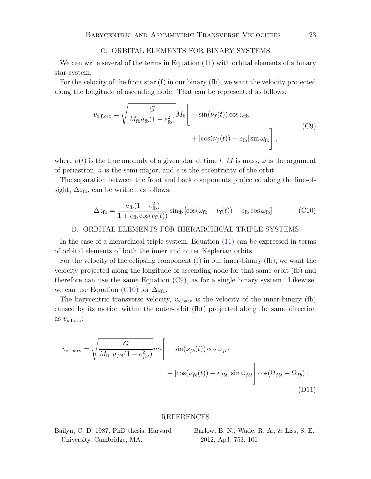#### <span id="page-22-4"></span>C. ORBITAL ELEMENTS FOR BINARY SYSTEMS

<span id="page-22-1"></span>We can write several of the terms in Equation [\(11\)](#page-5-1) with orbital elements of a binary star system.

For the velocity of the front star  $(f)$  in our binary  $(f)$ , we want the velocity projected along the longitude of ascending node. That can be represented as follows:

$$
v_{\text{x,f,orb}} = \sqrt{\frac{G}{M_{\text{fb}}a_{\text{fb}}(1 - e_{\text{fb}}^2)}} M_{\text{b}} \left[ -\sin(\nu_f(t)) \cos \omega_{\text{fb}} + \left[ \cos(\nu_f(t)) + e_{\text{fb}} \right] \sin \omega_{\text{fb}} \right],
$$
(C9)

where  $\nu(t)$  is the true anomaly of a given star at time t, M is mass,  $\omega$  is the argument of periastron,  $\alpha$  is the semi-major, and  $e$  is the eccentricity of the orbit.

<span id="page-22-5"></span>The separation between the front and back components projected along the line-ofsight,  $\Delta z_{\text{fb}}$ , can be written as follows:

$$
\Delta z_{\text{fb}} = \frac{a_{\text{fb}}(1 - e_{\text{fb}}^2)}{1 + e_{\text{fb}}\cos(\nu_{\text{f}}(t))} \sin_{\text{fb}}\left[\cos(\omega_{\text{fb}} + \nu_{\text{f}}(t)) + e_{\text{fb}}\cos\omega_{\text{fb}}\right].
$$
 (C10)

## <span id="page-22-2"></span>D. ORBITAL ELEMENTS FOR HIERARCHICAL TRIPLE SYSTEMS

In the case of a hierarchical triple system, Equation [\(11\)](#page-5-1) can be expressed in terms of orbital elements of both the inner and outer Keplerian orbits.

For the velocity of the eclipsing component  $(f)$  in our inner-binary  $(f)$ , we want the velocity projected along the longitude of ascending node for that same orbit (fb) and therefore can use the same Equation  $(C9)$ , as for a single binary system. Likewise, we can use Equation [\(C10\)](#page-22-5) for  $\Delta z_{\text{fb}}$ .

The barycentric transverse velocity,  $v_{x, bary}$  is the velocity of the inner-binary (fb) caused by its motion within the outer-orbit (fbt) projected along the same direction as  $v_{\text{x,f,orb}}$ :

$$
v_{\rm x, bary} = \sqrt{\frac{G}{M_{\rm fbt}a_{fbt}(1 - e_{fbt}^2)}} m_t \left[ -\sin(\nu_{fb}(t)) \cos \omega_{fbt} + \left[ \cos(\nu_{fb}(t)) + e_{fbt} \right] \sin \omega_{fbt} \right] \cos(\Omega_{fbt} - \Omega_{fb}).
$$
\n(D11)

## REFERENCES

<span id="page-22-3"></span>

| Bailyn, C. D. 1987, PhD thesis, Harvard |  |  |
|-----------------------------------------|--|--|
| University, Cambridge, MA.              |  |  |

<span id="page-22-0"></span>Barlow, B. N., Wade, R. A., & Liss, S. E. 2012, ApJ, 753, 101